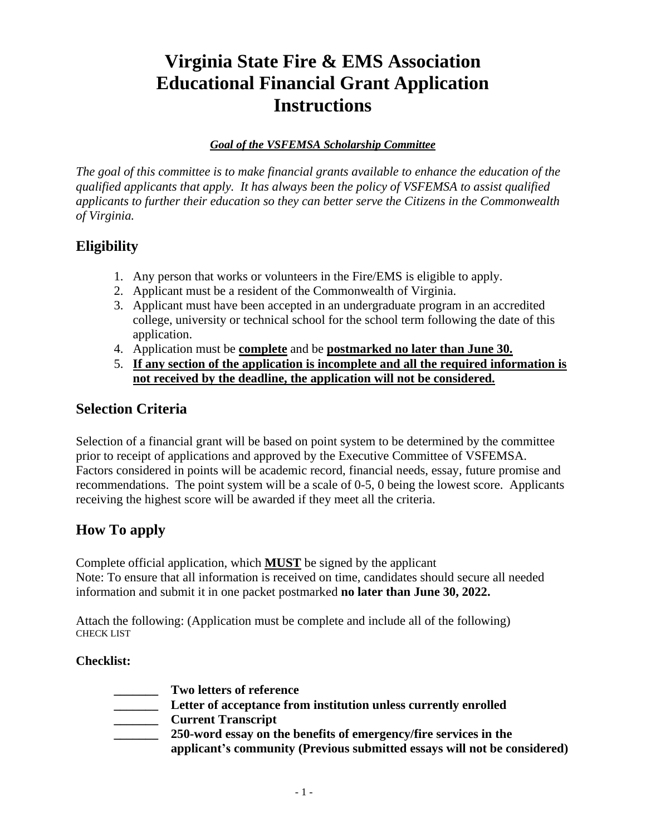## **Virginia State Fire & EMS Association Educational Financial Grant Application Instructions**

#### *Goal of the VSFEMSA Scholarship Committee*

*The goal of this committee is to make financial grants available to enhance the education of the qualified applicants that apply. It has always been the policy of VSFEMSA to assist qualified applicants to further their education so they can better serve the Citizens in the Commonwealth of Virginia.*

#### **Eligibility**

- 1. Any person that works or volunteers in the Fire/EMS is eligible to apply.
- 2. Applicant must be a resident of the Commonwealth of Virginia.
- 3. Applicant must have been accepted in an undergraduate program in an accredited college, university or technical school for the school term following the date of this application.
- 4. Application must be **complete** and be **postmarked no later than June 30.**
- 5. **If any section of the application is incomplete and all the required information is not received by the deadline, the application will not be considered.**

## **Selection Criteria**

Selection of a financial grant will be based on point system to be determined by the committee prior to receipt of applications and approved by the Executive Committee of VSFEMSA. Factors considered in points will be academic record, financial needs, essay, future promise and recommendations. The point system will be a scale of 0-5, 0 being the lowest score. Applicants receiving the highest score will be awarded if they meet all the criteria.

## **How To apply**

Complete official application, which **MUST** be signed by the applicant Note: To ensure that all information is received on time, candidates should secure all needed information and submit it in one packet postmarked **no later than June 30, 2022.**

Attach the following: (Application must be complete and include all of the following) CHECK LIST

#### **Checklist:**

- **\_\_\_\_\_\_\_ Two letters of reference \_\_\_\_\_\_\_ Letter of acceptance from institution unless currently enrolled**
- **\_\_\_\_\_\_\_ Current Transcript**
	- **\_\_\_\_\_\_\_ 250-word essay on the benefits of emergency/fire services in the applicant's community (Previous submitted essays will not be considered)**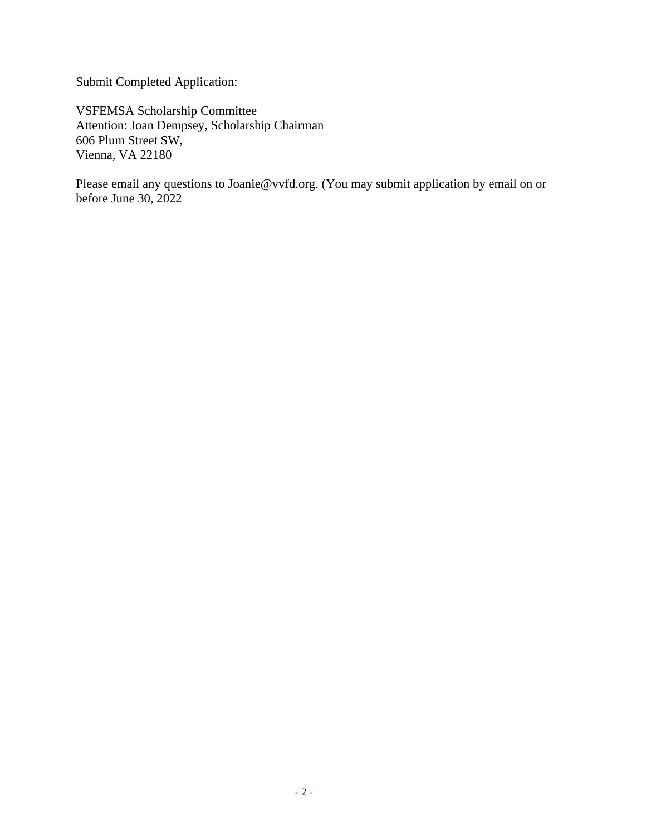Submit Completed Application:

VSFEMSA Scholarship Committee Attention: Joan Dempsey, Scholarship Chairman 606 Plum Street SW, Vienna, VA 22180

Please email any questions to Joanie@vvfd.org. (You may submit application by email on or before June 30, 2022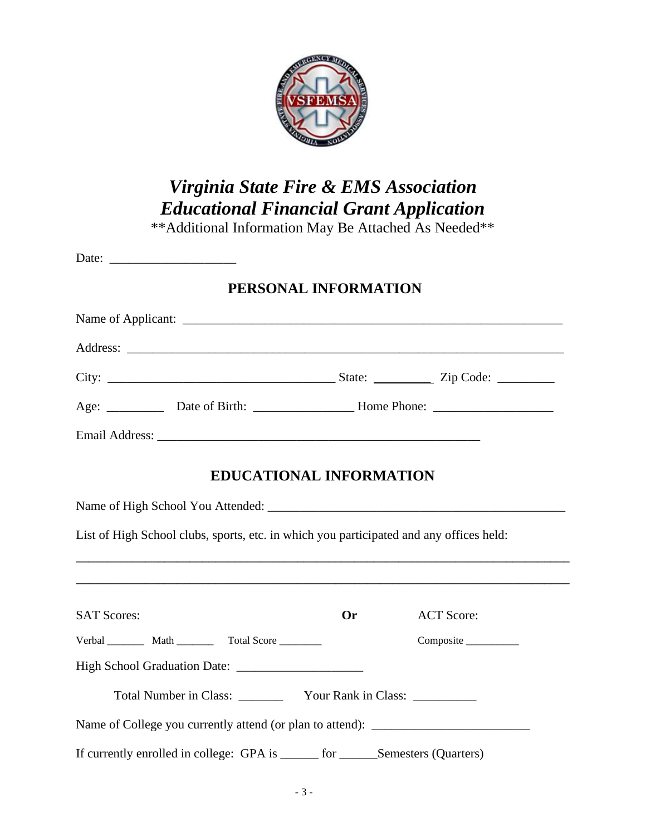

# *Virginia State Fire & EMS Association Educational Financial Grant Application*

\*\*Additional Information May Be Attached As Needed\*\*

| PERSONAL INFORMATION                                                                                                                                                               |                                                                                                      |                   |  |  |
|------------------------------------------------------------------------------------------------------------------------------------------------------------------------------------|------------------------------------------------------------------------------------------------------|-------------------|--|--|
|                                                                                                                                                                                    |                                                                                                      |                   |  |  |
|                                                                                                                                                                                    |                                                                                                      |                   |  |  |
|                                                                                                                                                                                    |                                                                                                      |                   |  |  |
|                                                                                                                                                                                    | Age: ______________ Date of Birth: ________________________Home Phone: _____________________________ |                   |  |  |
|                                                                                                                                                                                    |                                                                                                      |                   |  |  |
| <b>EDUCATIONAL INFORMATION</b>                                                                                                                                                     |                                                                                                      |                   |  |  |
| List of High School clubs, sports, etc. in which you participated and any offices held:<br><b>,这些人的人都不能</b> 是一个人的人,我们也不能是一个人的人,我们也不能是一个人的人,我们也不能是一个人的人,我们也不能是一个人的人,我们也不能是一个人的人,我们也 |                                                                                                      |                   |  |  |
| <b>SAT Scores:</b>                                                                                                                                                                 | <b>Or</b>                                                                                            | <b>ACT Score:</b> |  |  |
| Verbal Math Total Score                                                                                                                                                            |                                                                                                      | Composite         |  |  |
|                                                                                                                                                                                    |                                                                                                      |                   |  |  |
|                                                                                                                                                                                    |                                                                                                      |                   |  |  |
| Name of College you currently attend (or plan to attend): _______________________                                                                                                  |                                                                                                      |                   |  |  |
| If currently enrolled in college: GPA is ______ for ______Semesters (Quarters)                                                                                                     |                                                                                                      |                   |  |  |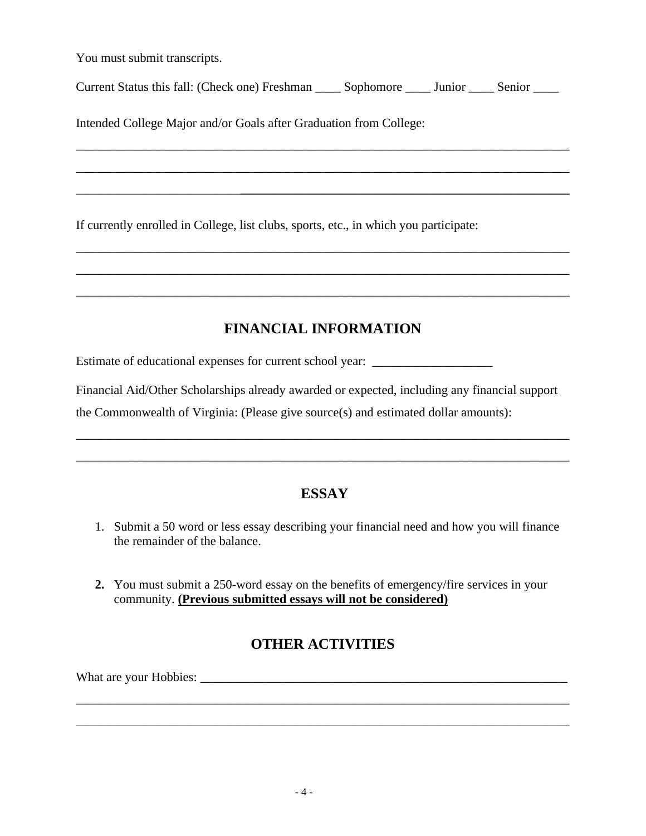You must submit transcripts.

Current Status this fall: (Check one) Freshman \_\_\_\_ Sophomore \_\_\_\_ Junior \_\_\_\_ Senior \_\_\_\_

\_\_\_\_\_\_\_\_\_\_\_\_\_\_\_\_\_\_\_\_\_\_\_\_\_\_\_\_\_\_\_\_\_\_\_\_\_\_\_\_\_\_\_\_\_\_\_\_\_\_\_\_\_\_\_\_\_\_\_\_\_\_\_\_\_\_\_\_\_\_\_\_\_\_\_\_\_\_

\_\_\_\_\_\_\_\_\_\_\_\_\_\_\_\_\_\_\_\_\_\_\_\_\_\_\_\_\_\_\_\_\_\_\_\_\_\_\_\_\_\_\_\_\_\_\_\_\_\_\_\_\_\_\_\_\_\_\_\_\_\_\_\_\_\_\_\_\_\_\_\_\_\_\_\_\_\_

\_\_\_\_\_\_\_\_\_\_\_\_\_\_\_\_\_\_\_\_\_\_\_\_\_\_**\_\_\_\_\_\_\_\_\_\_\_\_\_\_\_\_\_\_\_\_\_\_\_\_\_\_\_\_\_\_\_\_\_\_\_\_\_\_\_\_\_\_\_\_\_\_\_\_\_\_\_\_**

\_\_\_\_\_\_\_\_\_\_\_\_\_\_\_\_\_\_\_\_\_\_\_\_\_\_\_\_\_\_\_\_\_\_\_\_\_\_\_\_\_\_\_\_\_\_\_\_\_\_\_\_\_\_\_\_\_\_\_\_\_\_\_\_\_\_\_\_\_\_\_\_\_\_\_\_\_\_

\_\_\_\_\_\_\_\_\_\_\_\_\_\_\_\_\_\_\_\_\_\_\_\_\_\_\_\_\_\_\_\_\_\_\_\_\_\_\_\_\_\_\_\_\_\_\_\_\_\_\_\_\_\_\_\_\_\_\_\_\_\_\_\_\_\_\_\_\_\_\_\_\_\_\_\_\_\_

\_\_\_\_\_\_\_\_\_\_\_\_\_\_\_\_\_\_\_\_\_\_\_\_\_\_\_\_\_\_\_\_\_\_\_\_\_\_\_\_\_\_\_\_\_\_\_\_\_\_\_\_\_\_\_\_\_\_\_\_\_\_\_\_\_\_\_\_\_\_\_\_\_\_\_\_\_\_

Intended College Major and/or Goals after Graduation from College:

If currently enrolled in College, list clubs, sports, etc., in which you participate:

## **FINANCIAL INFORMATION**

Estimate of educational expenses for current school year: \_\_\_\_\_\_\_\_\_\_\_\_\_\_\_\_\_\_\_\_\_\_

Financial Aid/Other Scholarships already awarded or expected, including any financial support

the Commonwealth of Virginia: (Please give source(s) and estimated dollar amounts):

## **ESSAY**

\_\_\_\_\_\_\_\_\_\_\_\_\_\_\_\_\_\_\_\_\_\_\_\_\_\_\_\_\_\_\_\_\_\_\_\_\_\_\_\_\_\_\_\_\_\_\_\_\_\_\_\_\_\_\_\_\_\_\_\_\_\_\_\_\_\_\_\_\_\_\_\_\_\_\_\_\_\_

\_\_\_\_\_\_\_\_\_\_\_\_\_\_\_\_\_\_\_\_\_\_\_\_\_\_\_\_\_\_\_\_\_\_\_\_\_\_\_\_\_\_\_\_\_\_\_\_\_\_\_\_\_\_\_\_\_\_\_\_\_\_\_\_\_\_\_\_\_\_\_\_\_\_\_\_\_\_

- 1. Submit a 50 word or less essay describing your financial need and how you will finance the remainder of the balance.
- **2.** You must submit a 250-word essay on the benefits of emergency/fire services in your community. **(Previous submitted essays will not be considered)**

## **OTHER ACTIVITIES**

\_\_\_\_\_\_\_\_\_\_\_\_\_\_\_\_\_\_\_\_\_\_\_\_\_\_\_\_\_\_\_\_\_\_\_\_\_\_\_\_\_\_\_\_\_\_\_\_\_\_\_\_\_\_\_\_\_\_\_\_\_\_\_\_\_\_\_\_\_\_\_\_\_\_\_\_\_\_

\_\_\_\_\_\_\_\_\_\_\_\_\_\_\_\_\_\_\_\_\_\_\_\_\_\_\_\_\_\_\_\_\_\_\_\_\_\_\_\_\_\_\_\_\_\_\_\_\_\_\_\_\_\_\_\_\_\_\_\_\_\_\_\_\_\_\_\_\_\_\_\_\_\_\_\_\_\_

What are your Hobbies: \_\_\_\_\_\_\_\_\_\_\_\_\_\_\_\_\_\_\_\_\_\_\_\_\_\_\_\_\_\_\_\_\_\_\_\_\_\_\_\_\_\_\_\_\_\_\_\_\_\_\_\_\_\_\_\_\_\_